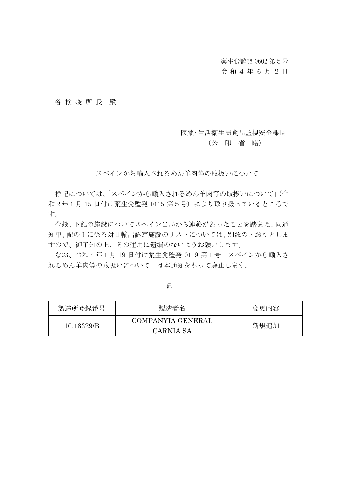薬生食監発 0602 第5号

### 令和4 年 6 月 2 日

#### 各 検 疫 所 長 殿

#### 医薬・生活衛生局食品監視安全課長

#### (公 印 省 略)

スペインから輸入されるめん羊肉等の取扱いについて

標記については、「スペインから輸入されるめん羊肉等の取扱いについて」(令 和2年1月 15 日付け薬生食監発 0115 第5号)により取り扱っているところで す。

今般、下記の施設についてスペイン当局から連絡があったことを踏まえ、同通 知中、記の1に係る対日輸出認定施設のリストについては、別添のとおりとしま すので、御了知の上、その運用に遺漏のないようお願いします。

なお、令和4年1月 19 日付け薬生食監発 0119 第1号「スペインから輸入さ れるめん羊肉等の取扱いについて」は本通知をもって廃止します。

製造所登録番号 製造者名 みんじょう 変更内容 10.16329/B COMPANYIA GENERAL CARNIA SA 新規追加

記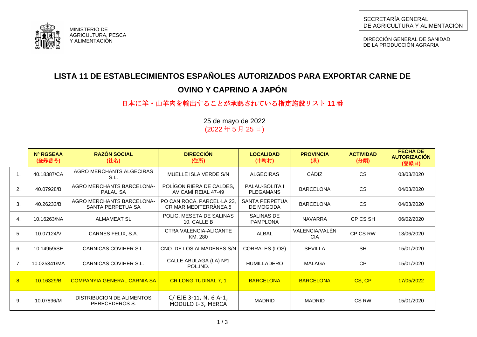

DIRECCIÓN GENERAL DE SANIDAD DE LA PRODUCCIÓN AGRARIA

# **LISTA 11 DE ESTABLECIMIENTOS ESPAÑOLES AUTORIZADOS PARA EXPORTAR CARNE DE**

## **OVINO Y CAPRINO A JAPÓN**

## 日本に羊・山羊肉を輸出することが承認されている指定施設リスト **11** 番

|                | Nº RGSEAA<br>(登録番号) | <b>RAZÓN SOCIAL</b><br>(社名)                           | <b>DIRECCIÓN</b><br>(住所)                            | <b>LOCALIDAD</b><br>(市町村)                 | <b>PROVINCIA</b><br>(県)      | <b>ACTIVIDAD</b><br>(分類) | <b>FECHA DE</b><br><b>AUTORIZACIÓN</b><br>(登録日) |
|----------------|---------------------|-------------------------------------------------------|-----------------------------------------------------|-------------------------------------------|------------------------------|--------------------------|-------------------------------------------------|
| $\mathbf{1}$ . | 40.18387/CA         | AGRO MERCHANTS ALGECIRAS<br>S.L.                      | MUELLE ISLA VERDE S/N                               | <b>ALGECIRAS</b>                          | CÁDIZ                        | <b>CS</b>                | 03/03/2020                                      |
| 2.             | 40.07928/B          | AGRO MERCHANTS BARCELONA-<br>PALAU SA                 | POLÍGON RIERA DE CALDES,<br>AV CAMÍ REIAL 47-49     | <b>PALAU-SOLITA I</b><br><b>PLEGAMANS</b> | <b>BARCELONA</b>             | <b>CS</b>                | 04/03/2020                                      |
| 3.             | 40.26233/B          | <b>AGRO MERCHANTS BARCELONA-</b><br>SANTA PERPETUA SA | PO CAN ROCA, PARCEL·LA 23,<br>CR MAR MEDITERRÀNEA,5 | SANTA PERPETUA<br>DE MOGODA               | <b>BARCELONA</b>             | <b>CS</b>                | 04/03/2020                                      |
| 4.             | 10.16263/NA         | <b>ALMAMEAT SL</b>                                    | POLIG. MESETA DE SALINAS<br>10, CALLE B             | <b>SALINAS DE</b><br><b>PAMPLONA</b>      | <b>NAVARRA</b>               | CP CS SH                 | 06/02/2020                                      |
| 5.             | 10.07124/V          | CARNES FELIX, S.A.                                    | CTRA VALENCIA-ALICANTE<br>KM. 280                   | <b>ALBAL</b>                              | VALENCIA/VALEN<br><b>CIA</b> | CP CS RW                 | 13/06/2020                                      |
| 6.             | 10.14959/SE         | CARNICAS COVIHER S.L.                                 | CNO. DE LOS ALMADENES S/N                           | <b>CORRALES (LOS)</b>                     | <b>SEVILLA</b>               | <b>SH</b>                | 15/01/2020                                      |
| 7 <sub>1</sub> | 10.025341/MA        | CARNICAS COVIHER S.L.                                 | CALLE ABULAGA (LA) Nº1<br>POL.IND.                  | <b>HUMILLADERO</b>                        | MÁLAGA                       | CP                       | 15/01/2020                                      |
| 8.             | 10.16329/B          | <b>COMPANYIA GENERAL CARNIA SA</b>                    | <b>CR LONGITUDINAL 7, 1</b>                         | <b>BARCELONA</b>                          | <b>BARCELONA</b>             | CS, CP                   | 17/05/2022                                      |
| 9.             | 10.07896/M          | DISTRIBUCION DE ALIMENTOS<br>PERECEDEROS S.           | C/ EJE 3-11, N. 6 A-1,<br>MODULO I-3, MERCA         | <b>MADRID</b>                             | <b>MADRID</b>                | CS RW                    | 15/01/2020                                      |

25 de mayo de 2022 (2022 年 5 月 25 日)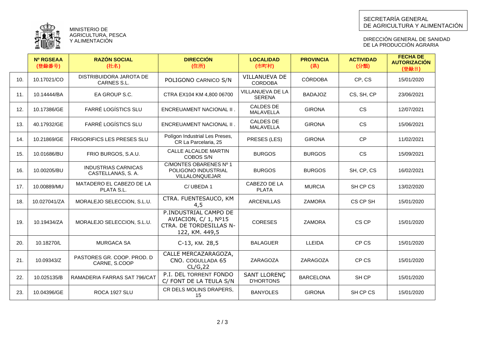

MINISTERIO DE AGRICULTURA, PESCA Y ALIMENTACION

DIRECCIÓN GENERAL DE SANIDAD DE LA PRODUCCION AGRARIA

|     | <b>Nº RGSEAA</b><br>(登録番号) | <b>RAZÓN SOCIAL</b><br>(社名)                     | <b>DIRECCIÓN</b><br>(住所)                                                                   | <b>LOCALIDAD</b><br>(市町村)                | <b>PROVINCIA</b><br>(県) | <b>ACTIVIDAD</b><br>(分類) | <b>FECHA DE</b><br><b>AUTORIZACIÓN</b><br>(登録日) |
|-----|----------------------------|-------------------------------------------------|--------------------------------------------------------------------------------------------|------------------------------------------|-------------------------|--------------------------|-------------------------------------------------|
| 10. | 10.17021/CO                | DISTRIBUIDORA JAROTA DE<br>CARNES S.L.          | POLIGONO CARNICO S/N                                                                       | <b>VILLANUEVA DE</b><br><b>CORDOBA</b>   | <b>CÓRDOBA</b>          | CP, CS                   | 15/01/2020                                      |
| 11. | 10.14444/BA                | EA GROUP S.C.                                   | CTRA EX104 KM 4,800 06700                                                                  | <b>VILLANUEVA DE LA</b><br><b>SERENA</b> | <b>BADAJOZ</b>          | CS, SH, CP               | 23/06/2021                                      |
| 12. | 10.17386/GE                | <b>FARRÉ LOGÍSTICS SLU</b>                      | ENCREUAMENT NACIONAL II .                                                                  | <b>CALDES DE</b><br><b>MALAVELLA</b>     | <b>GIRONA</b>           | <b>CS</b>                | 12/07/2021                                      |
| 13. | 40.17932/GE                | <b>FARRÉ LOGÍSTICS SLU</b>                      | ENCREUAMENT NACIONAL II .                                                                  | <b>CALDES DE</b><br><b>MALAVELLA</b>     | <b>GIRONA</b>           | <b>CS</b>                | 15/06/2021                                      |
| 14. | 10.21869/GE                | <b>FRIGORIFICS LES PRESES SLU</b>               | Polígon Industrial Les Preses,<br>CR La Parcelaria, 25                                     | PRESES (LES)                             | <b>GIRONA</b>           | <b>CP</b>                | 11/02/2021                                      |
| 15. | 10.01686/BU                | FRIO BURGOS, S.A.U.                             | CALLE ALCALDE MARTIN<br>COBOS S/N                                                          | <b>BURGOS</b>                            | <b>BURGOS</b>           | <b>CS</b>                | 15/09/2021                                      |
| 16. | 10.00205/BU                | <b>INDUSTRIAS CARNICAS</b><br>CASTELLANAS, S.A. | C/MONTES OBARENES Nº 1<br>POLIGONO INDUSTRIAL<br>VILLALONQUEJAR                            | <b>BURGOS</b>                            | <b>BURGOS</b>           | SH, CP, CS               | 16/02/2021                                      |
| 17. | 10.00889/MU                | MATADERO EL CABEZO DE LA<br>PLATA S.L.          | C/UBEDA 1                                                                                  | CABEZO DE LA<br><b>PLATA</b>             | <b>MURCIA</b>           | SH CP CS                 | 13/02/2020                                      |
| 18. | 10.027041/ZA               | MORALEJO SELECCION, S.L.U.                      | CTRA. FUENTESAUCO, KM<br>4,5                                                               | <b>ARCENILLAS</b>                        | <b>ZAMORA</b>           | CS CP SH                 | 15/01/2020                                      |
| 19. | 10.19434/ZA                | MORALEJO SELECCION, S.L.U.                      | P.INDUSTRIAL CAMPO DE<br>AVIACION, C/ 1, Nº15<br>CTRA. DE TORDESILLAS N-<br>122, KM. 449,5 | <b>CORESES</b>                           | <b>ZAMORA</b>           | CS CP                    | 15/01/2020                                      |
| 20. | 10.18270/L                 | <b>MURGACA SA</b>                               | C-13, KM. 28,5                                                                             | <b>BALAGUER</b>                          | <b>LLEIDA</b>           | CP CS                    | 15/01/2020                                      |
| 21. | 10.09343/Z                 | PASTORES GR. COOP. PROD. D<br>CARNE, S.COOP     | CALLE MERCAZARAGOZA,<br>CNO. COGULLADA 65<br>CL/G, 22                                      | ZARAGOZA                                 | ZARAGOZA                | CP CS                    | 15/01/2020                                      |
| 22. | 10.025135/B                | RAMADERIA FARRAS SAT 796/CAT                    | P.I. DEL TORRENT FONDO<br>C/ FONT DE LA TEULA S/N                                          | <b>SANT LLORENC</b><br><b>D'HORTONS</b>  | <b>BARCELONA</b>        | SH CP                    | 15/01/2020                                      |
| 23. | 10.04396/GE                | ROCA 1927 SLU                                   | CR DELS MOLINS DRAPERS,<br>15                                                              | <b>BANYOLES</b>                          | <b>GIRONA</b>           | SH CP CS                 | 15/01/2020                                      |